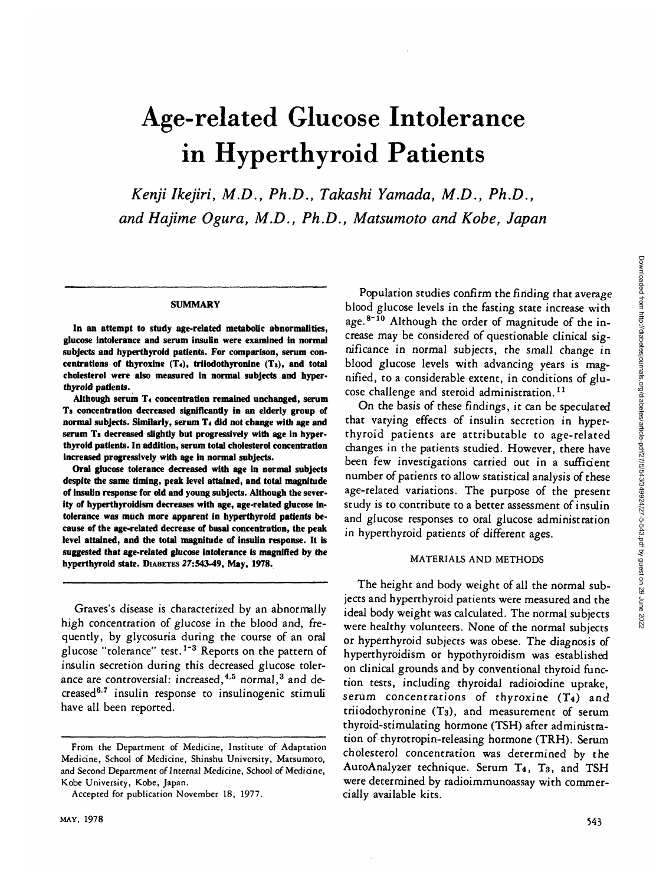# Age-related Glucose Intolerance in Hyperthyroid Patients

*Kenji Ikejiri, M.D., Ph.D., Takashi Yamada, M.D., Ph.D., and Hajime Ogura, M.D., Ph.D., Matsumoto and Kobe, Japan*

#### **SUMMARY**

**In an attempt to study age-related metabolic abnormalities, glucose intolerance and serum insulin were examined in normal subjects and hyperthyroid patients. For comparison, serum concentrations of thyroxine (T«), triiodothyronine (Ts), and total cholesterol were also measured in normal subjects and hyperthyroid patients.**

**Although serum T< concentration remained unchanged, serum Ts concentration decreased significantly in an elderly group of normal subjects. Similarly, serum T< did not change with age and serum Ts decreased slightly but progressively with age in hyperthyroid patients. In addition, serum total cholesterol concentration increased progressively with age in normal subjects.**

**Oral glucose tolerance decreased with age in normal subjects despite the same timing, peak level attained, and total magnitude of insulin response for old and young subjects. Although the severity of hyperthyroidism decreases with age, age-related glucose intolerance was much more apparent in hyperthyroid patients because of the age-related decrease of basal concentration, the peak level attained, and the total magnitude of insulin response. It is suggested that age-related glucose intolerance is magnified by the hyperthyroid state. DIABETES 27:543-49, May, 1978.**

Graves's disease is characterized by an abnormally high concentration of glucose in the blood and, frequently, by glycosuria during the course of an oral glucose "tolerance" test.<sup>1-3</sup> Reports on the pattern of insulin secretion during this decreased glucose tolerance are controversial: increased,<sup>4,5</sup> normal,<sup>3</sup> and decreased<sup>6.7</sup> insulin response to insulinogenic stimuli have all been reported.

Population studies confirm the finding that average blood glucose levels in the fasting state increase with age.<sup>8-10</sup> Although the order of magnitude of the increase may be considered of questionable clinical significance in normal subjects, the small change in blood glucose levels with advancing years is magnified, to a considerable extent, in conditions of glucose challenge and steroid administration.<sup>11</sup>

On the basis of these findings, it can be speculated that varying effects of insulin secretion in hyperthyroid patients are attributable to age-related changes in the patients studied. However, there have been few investigations carried out in a sufficient number of patients to allow statistical analysis of these age-related variations. The purpose of the present study is to contribute to a better assessment of insulin and glucose responses to oral glucose administration in hyperthyroid patients of different ages.

## MATERIALS AND METHODS

The height and body weight of all the normal subjects and hyperthyroid patients were measured and the ideal body weight was calculated. The normal subjects were healthy volunteers. None of the normal subjects or hyperthyroid subjects was obese. The diagnosis of hyperthyroidism or hypothyroidism was established on clinical grounds and by conventional thyroid function tests, including thyroidal radioiodine uptake, serum concentrations of thyroxine (T4) and triiodothyronine (T3), and measurement of serum thyroid-stimulating hormone (TSH) after administration of thyrotropin-releasing hormone (TRH). Serum cholesterol concentration was determined by the AutoAnalyzer technique. Serum T4, T3, and TSH were determined by radioimmunoassay with commercially available kits.

From the Department of Medicine, Institute of Adaptation Medicine, School of Medicine, Shinshu University, Matsumoto, and Second Department of Internal Medicine, School of Medicine, Kobe University, Kobe, Japan.

Accepted for publication November 18, 1977.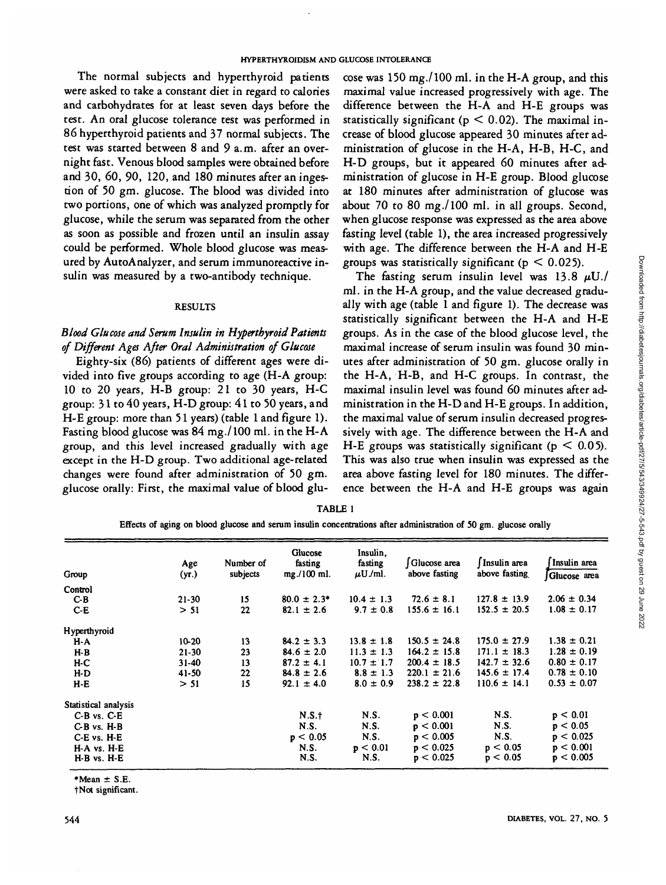The normal subjects and hyperthyroid patients were asked to take a constant diet in regard to calories and carbohydrates for at least seven days before the test. An oral glucose tolerance test was performed in 86 hyperthyroid patients and 37 normal subjects. The test was started between 8 and 9 a.m. after an overnight fast. Venous blood samples were obtained before and 30, 60, 90, 120, and 180 minutes after an ingestion of 50 gm. glucose. The blood was divided into two portions, one of which was analyzed promptly for glucose, while the serum was separated from the other as soon as possible and frozen until an insulin assay could be performed. Whole blood glucose was measured by AutoAnalyzer, and serum immunoreactive insulin was measured by a two-antibody technique.

## **RESULTS**

# *Blood Glucose and Serum Insulin in Hyperthyroid Patients of Different Ages After Oral Administration of Glucose*

Eighty-six (86) patients of different ages were divided into five groups according to age (H-A group: 10 to 20 years, H-B group: 21 to 30 years, H-C group: 31 to 40 years, H-D group: 41 to 50 years, and H-E group: more than 51 years) (table 1 and figure 1). Fasting blood glucose was 84 mg./100 ml. in the H-A group, and this level increased gradually with age except in the H-D group. Two additional age-related changes were found after administration of 50 gm. glucose orally: First, the maximal value of blood glu-

cose was 150 mg./lOO ml. in the H-A group, and this maximal value increased progressively with age. The difference between the H-A and H-E groups was statistically significant ( $p < 0.02$ ). The maximal increase of blood glucose appeared 30 minutes after administration of glucose in the H-A, H-B, H-C, and H-D groups, but it appeared 60 minutes after administration of glucose in H-E group. Blood glucose at 180 minutes after administration of glucose was about 70 to 80 mg./lOO ml. in all groups. Second, when glucose response was expressed as the area above fasting level (table 1), the area increased progressively with age. The difference between the H-A and H-E groups was statistically significant ( $p < 0.025$ ).

The fasting serum insulin level was  $13.8 \mu U$ ./ ml. in the H-A group, and the value decreased gradually with age (table 1 and figure 1). The decrease was statistically significant between the H-A and H-E groups. As in the case of the blood glucose level, the maximal increase of serum insulin was found 30 minutes after administration of 50 gm. glucose orally in the H-A, H-B, and H-C groups. In contrast, the maximal insulin level was found 60 minutes after administration in the H-D and H-E groups. In addition, the maximal value of serum insulin decreased progressively with age. The difference between the H-A and H-E groups was statistically significant ( $p < 0.05$ ). This was also true when insulin was expressed as the area above fasting level for 180 minutes. The difference between the H-A and H-E groups was again

**TABLE 1**

**Effects of aging on blood glucose and serum insulin concentrations after administration of SO gm. glucose orally**

| Group                | Age<br>(yr.) | Number of<br>subjects | Glucose<br>fasting<br>mg./100 ml. | Insulin,<br>fasting<br>$\mu$ U./ml. | Glucose area<br>above fasting | Insulin area<br>above fasting | Insulin area<br>Glucose area |
|----------------------|--------------|-----------------------|-----------------------------------|-------------------------------------|-------------------------------|-------------------------------|------------------------------|
| Control              |              |                       |                                   |                                     |                               |                               |                              |
| $C-B$                | $21 - 30$    | 15                    | $80.0 \pm 2.3^*$                  | $10.4 \pm 1.3$                      | $72.6 \pm 8.1$                | $127.8 \pm 13.9$              | $2.06 \pm 0.34$              |
| $C-E$                | > 51         | 22                    | $82.1 \pm 2.6$                    | $9.7 \pm 0.8$                       | $155.6 \pm 16.1$              | $152.5 \pm 20.5$              | $1.08 \pm 0.17$              |
| Hyperthyroid         |              |                       |                                   |                                     |                               |                               |                              |
| H-A                  | $10 - 20$    | 13                    | $84.2 \pm 3.3$                    | $13.8 \pm 1.8$                      | $150.5 \pm 24.8$              | $175.0 \pm 27.9$              | $1.38 \pm 0.21$              |
| $H-B$                | $21-30$      | 23                    | $84.6 \pm 2.0$                    | $11.3 \pm 1.3$                      | $164.2 \pm 15.8$              | $171.1 \pm 18.3$              | $1.28 \pm 0.19$              |
| $H-C$                | $31 - 40$    | 13                    | $87.2 \pm 4.1$                    | $10.7 \pm 1.7$                      | $200.4 \pm 18.5$              | $142.7 \pm 32.6$              | $0.80 \pm 0.17$              |
| $H-D$                | $41 - 50$    | 22                    | $84.8 \pm 2.6$                    | $8.8 \pm 1.3$                       | $220.1 \pm 21.6$              | $145.6 \pm 17.4$              | $0.78 \pm 0.10$              |
| $H-E$                | > 51         | 15                    | $92.1 \pm 4.0$                    | $8.0 \pm 0.9$                       | $238.2 \pm 22.8$              | $110.6 \pm 14.1$              | $0.53 \pm 0.07$              |
| Statistical analysis |              |                       |                                   |                                     |                               |                               |                              |
| $C-B$ vs. $C-E$      |              |                       | N.S.t                             | N.S.                                | p < 0.001                     | N.S.                          | p < 0.01                     |
| C-B vs. H-B          |              |                       | <b>N.S.</b>                       | N.S.                                | p < 0.001                     | N.S.                          | p < 0.05                     |
| C-E vs. H-E          |              |                       | p < 0.05                          | N.S.                                | p < 0.005                     | N.S.                          | p < 0.025                    |
| H-A vs. H-E          |              |                       | N.S.                              | p < 0.01                            | p < 0.025                     | p < 0.05                      | p < 0.001                    |
| H-B vs. H-E          |              |                       | N.S.                              | N.S.                                | p < 0.025                     | p < 0.05                      | p < 0.005                    |

**•Mean ± S.E.**

**fNot significant.**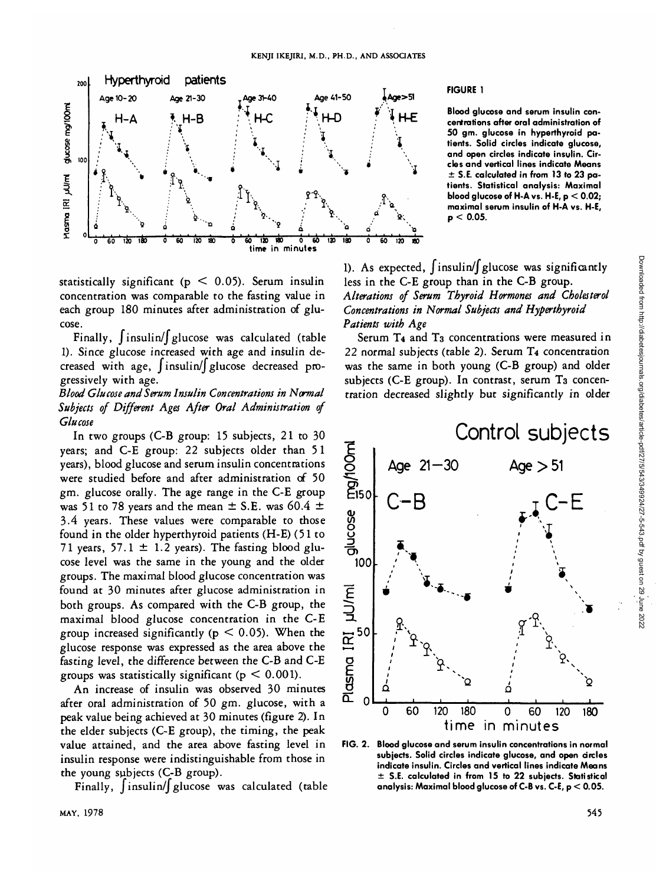

statistically significant ( $p < 0.05$ ). Serum insulin concentration was comparable to the fasting value in each group 180 minutes after administration of glucose.

Finally,  $\int$ insulin/ $\int$  glucose was calculated (table 1). Since glucose increased with age and insulin decreased with age, Jinsulin/J glucose decreased progressively with age.

*Blood Glucose and Serum Insulin Concentrations in Normal Subjects of Different Ages After Oral Administration of Glucose*

In two groups (C-B group: 15 subjects, 21 to 30 years; and C-E group: 22 subjects older than 51 years), blood glucose and serum insulin concentrations were studied before and after administration of 50 gm. glucose orally. The age range in the C-E group was 51 to 78 years and the mean  $\pm$  S.E. was 60.4  $\pm$ 3.4 years. These values were comparable to those found in the older hyperthyroid patients (H-E) (51 to 71 years, 57.1  $\pm$  1.2 years). The fasting blood glucose level was the same in the young and the older groups. The maximal blood glucose concentration was found at 30 minutes after glucose administration in both groups. As compared with the C-B group, the maximal blood glucose concentration in the C-E group increased significantly ( $p < 0.05$ ). When the glucose response was expressed as the area above the fasting level, the difference between the C-B and C-E groups was statistically significant ( $p < 0.001$ ).

An increase of insulin was observed 30 minutes after oral administration of 50 gm. glucose, with a peak value being achieved at 30 minutes (figure 2). In the elder subjects (C-E group), the timing, the peak value attained, and the area above fasting level in insulin response were indistinguishable from those in the young subjects (C-B group).

Finally,  $\int$ insulin/ $\int$  glucose was calculated (table

# **FIGURE 1**

**Blood glucose and serum insulin concentrations after oral administration of 50 gm. glucose in hyperthyroid patients. Solid circles indicate glucose, and open circles indicate insulin. Circles and vertical lines indicate Means ± S.E. calculated in from 13 to 23 patients. Statistical analysis: Maximal blood glucose of H-A vs. H-E, p < 0.02; maximal serum insulin of H-A vs. H-E, p < 0.05.**

1). As expected,  $\int$ insulin/ $\int$  glucose was significantly less in the C-E group than in the C-B group. *Alterations of Serum Thyroid Hormones and Cholesterol Concentrations in Normal Subjects and Hyperthyroid Patients with Age*

Serum T4 and T3 concentrations were measured in 22 normal subjects (table 2). Serum T4 concentration was the same in both young (C-B group) and older subjects (C-E group). In contrast, serum T<sub>3</sub> concentration decreased slightly but significantly in older



**FIG. 2. Blood glucose and serum insulin concentrations in normal subjects. Solid circles indicate glucose, and open circles indicate insulin. Circles and vertical lines indicate Means ± S.E. calculated in from 15 to 22 subjects. Statistical analysis: Maximal blood glucose of C-B vs. C-E, p < 0.05.**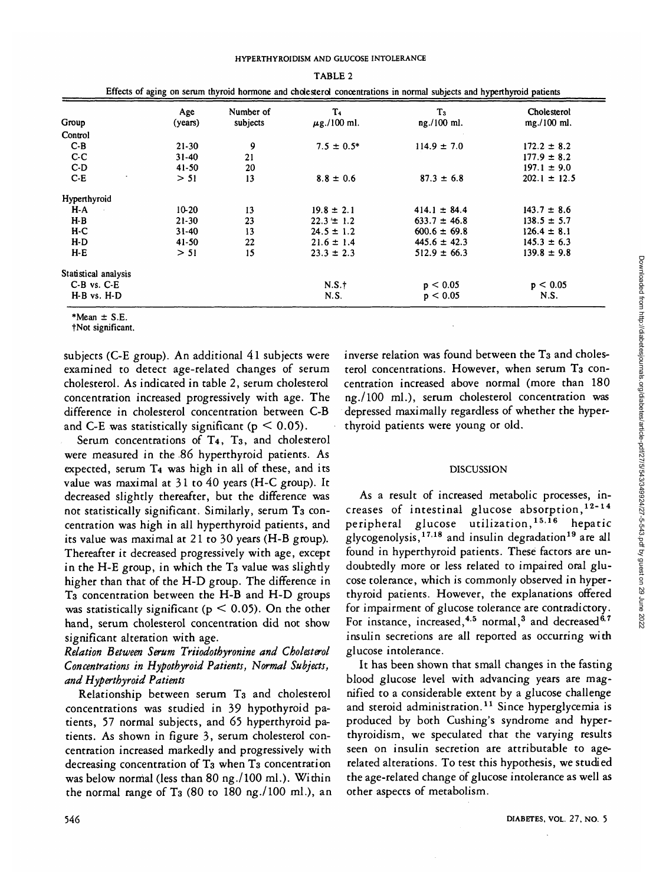|                      | Age       | Number of | T4               | T <sub>3</sub>   | Cholesterol      |
|----------------------|-----------|-----------|------------------|------------------|------------------|
| Group                | (years)   | subjects  | $\mu$ g./100 ml. | ng./100 ml.      | mg./100 ml.      |
| Control              |           |           |                  |                  |                  |
| $C-B$                | $21 - 30$ | 9         | $7.5 \pm 0.5^*$  | $114.9 \pm 7.0$  | $172.2 \pm 8.2$  |
| $C-C$                | 31-40     | 21        |                  |                  | $177.9 \pm 8.2$  |
| $C-D$                | $41 - 50$ | 20        |                  |                  | $197.1 \pm 9.0$  |
| $C-E$                | > 51      | 13        | $8.8 \pm 0.6$    | $87.3 \pm 6.8$   | $202.1 \pm 12.5$ |
| Hyperthyroid         |           |           |                  |                  |                  |
| H-A<br>÷.            | $10 - 20$ | 13        | $19.8 \pm 2.1$   | $414.1 \pm 84.4$ | $143.7 \pm 8.6$  |
| $H-B$                | $21 - 30$ | 23        | $22.3 \pm 1.2$   | $633.7 \pm 46.8$ | $138.5 \pm 5.7$  |
| $H-C$                | 31-40     | 13        | $24.5 \pm 1.2$   | $600.6 \pm 69.8$ | $126.4 \pm 8.1$  |
| $H-D$                | $41 - 50$ | 22        | $21.6 \pm 1.4$   | $445.6 \pm 42.3$ | $145.3 \pm 6.3$  |
| H-E                  | > 51      | 15        | $23.3 \pm 2.3$   | $512.9 \pm 66.3$ | $139.8 \pm 9.8$  |
| Statistical analysis |           |           |                  |                  |                  |
| C-B vs. C-E          |           |           | N.S.t            | p < 0.05         | p < 0.05         |
| H-B vs. H-D          |           |           | N.S.             | p < 0.05         | N.S.             |

|  | ffects of aging on serum thyroid hormone and cholesterol concentrations in normal subjects and hyperthyroid par |  |  |  |
|--|-----------------------------------------------------------------------------------------------------------------|--|--|--|

\*Mean  $\pm$  S.E.

tNot significant.

subjects (C-E group). An additional 41 subjects were examined to detect age-related changes of serum cholesterol. As indicated in table 2, serum cholesterol concentration increased progressively with age. The difference in cholesterol concentration between C-B and C-E was statistically significant ( $p < 0.05$ ).

Serum concentrations of T4, T3, and cholesterol were measured in the 86 hyperthyroid patients. As expected, serum T4 was high in all of these, and its value was maximal at 31 to 40 years (H-C group). It decreased slightly thereafter, but the difference was not statistically significant. Similarly, serum T3 concentration was high in all hyperthyroid patients, and its value was maximal at 21 to 30 years (H-B group). Thereafter it decreased progressively with age, except in the H-E group, in which the T<sub>3</sub> value was slightly higher than that of the H-D group. The difference in T3 concentration between the H-B and H-D groups was statistically significant ( $p < 0.05$ ). On the other hand, serum cholesterol concentration did not show significant alteration with age.

# *Relation Between Serum Triiodothyronine and Cholesterol Concentrations in Hypothyroid Patients, Normal Subjects, and Hyperthyroid Patients*

Relationship between serum T3 and cholesterol concentrations was studied in 39 hypothyroid patients, 57 normal subjects, and 65 hyperthyroid patients. As shown in figure 3, serum cholesterol concentration increased markedly and progressively with decreasing concentration of T<sub>3</sub> when T<sub>3</sub> concentration was below normal (less than 80 ng./100 ml.). Within the normal range of T<sub>3</sub> (80 to  $180$  ng./ $100$  ml.), an inverse relation was found between the T<sub>3</sub> and cholesterol concentrations. However, when serum T<sub>3</sub> concentration increased above normal (more than 180 ng./lOO ml.), serum cholesterol concentration was depressed maximally regardless of whether the hyperthyroid patients were young or old.

## DISCUSSION

As a result of increased metabolic processes, increases of intestinal glucose absorption,  $12-14$ peripheral glucose utilization,<sup>15,16</sup> hepatic elycogenolysis,<sup>17.18</sup> and insulin degradation<sup>19</sup> are all found in hyperthyroid patients. These factors are undoubtedly more or less related to impaired oral glucose tolerance, which is commonly observed in hyperthyroid patients. However, the explanations offered for impairment of glucose tolerance are contradictory. For instance, increased,<sup>4,5</sup> normal,<sup>3</sup> and decreased<sup>6,7</sup> insulin secretions are all reported as occurring with glucose intolerance.

It has been shown that small changes in the fasting blood glucose level with advancing years are magnified to a considerable extent by a glucose challenge and steroid administration.<sup>11</sup> Since hyperglycemia is produced by both Cushing's syndrome and hyperthyroidism, we speculated that the varying results seen on insulin secretion are attributable to agerelated alterations. To test this hypothesis, we studied the age-related change of glucose intolerance as well as other aspects of metabolism.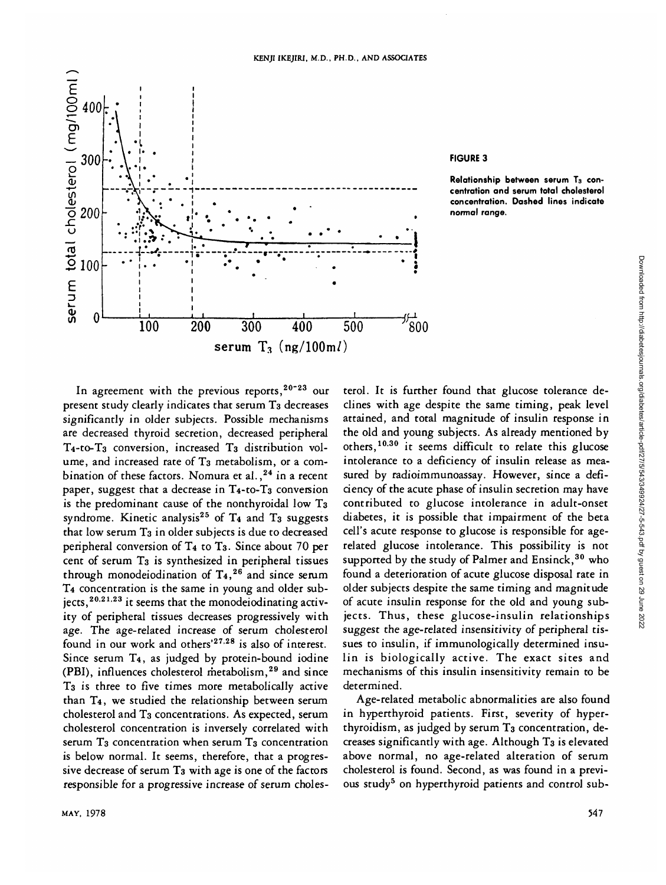

#### **FIGURE 3**

Relationship between serum T<sub>3</sub> con**centration and serum total cholesterol concentration. Dashed lines indicate normal range.**

In agreement with the previous reports,  $20 - 23$  our present study clearly indicates that serum T<sub>3</sub> decreases significantly in older subjects. Possible mechanisms are decreased thyroid secretion, decreased peripheral T4-to-T3 conversion, increased T3 distribution volume, and increased rate of T<sub>3</sub> metabolism, or a combination of these factors. Nomura et al.,<sup>24</sup> in a recent paper, suggest that a decrease in  $T_4$ -to- $T_3$  conversion is the predominant cause of the nonthyroidal low T3 syndrome. Kinetic analysis<sup>25</sup> of  $T_4$  and  $T_3$  suggests that low serum T<sub>3</sub> in older subjects is due to decreased peripheral conversion of T4 to T3. Since about 70 per cent of serum T3 is synthesized in peripheral tissues through monodeiodination of  $T_4$ ,  $^{26}$  and since serum T4 concentration is the same in young and older subjects,<sup>20,21,23</sup> it seems that the monodeiodinating activity of peripheral tissues decreases progressively with age. The age-related increase of serum cholesterol found in our work and others'<sup>27,28</sup> is also of interest. Since serum T4, as judged by protein-bound iodine (PBI), influences cholesterol metabolism,<sup>29</sup> and since T3 is three to five times more metabolically active than T4, we studied the relationship between serum cholesterol and T3 concentrations. As expected, serum cholesterol concentration is inversely correlated with serum T<sub>3</sub> concentration when serum T<sub>3</sub> concentration is below normal. It seems, therefore, that a progressive decrease of serum T3 with age is one of the factors responsible for a progressive increase of serum choles-

terol. It is further found that glucose tolerance declines with age despite the same timing, peak level attained, and total magnitude of insulin response in the old and young subjects. As already mentioned by others,<sup>10,30</sup> it seems difficult to relate this glucose intolerance to a deficiency of insulin release as measured by radioimmunoassay. However, since a deficiency of the acute phase of insulin secretion may have contributed to glucose intolerance in adult-onset diabetes, it is possible that impairment of the beta cell's acute response to glucose is responsible for agerelated glucose intolerance. This possibility is not supported by the study of Palmer and Ensinck,  $30$  who found a deterioration of acute glucose disposal rate in older subjects despite the same timing and magnitude of acute insulin response for the old and young subjects. Thus, these glucose-insulin relationships suggest the age-related insensitivity of peripheral tissues to insulin, if immunologically determined insulin is biologically active. The exact sites and mechanisms of this insulin insensitivity remain to be determined.

Age-related metabolic abnormalities are also found in hyperthyroid patients. First, severity of hyperthyroidism, as judged by serum T<sub>3</sub> concentration, decreases significantly with age. Although T3 is elevated above normal, no age-related alteration of serum cholesterol is found. Second, as was found in a previous study<sup>5</sup> on hyperthyroid patients and control sub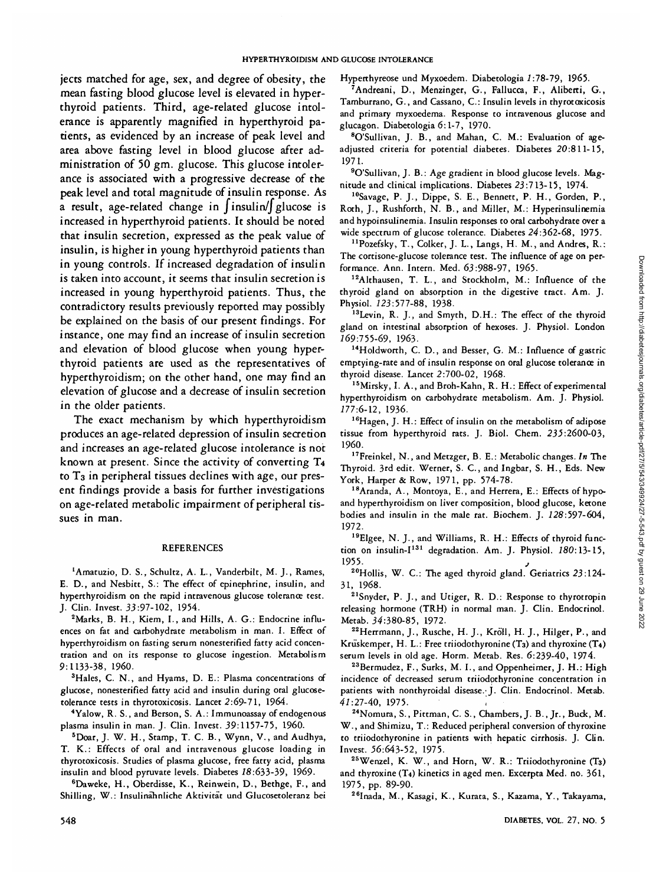jects matched for age, sex, and degree of obesity, the mean fasting blood glucose level is elevated in hyperthyroid patients. Third, age-related glucose intolerance is apparently magnified in hyperthyroid patients, as evidenced by an increase of peak level and area above fasting level in blood glucose after administration of 50 gm. glucose. This glucose intolerance is associated with a progressive decrease of the peak level and total magnitude of insulin response. As a result, age-related change in  $\int$ insulin/ $\int$ glucose is increased in hyperthyroid patients. It should be noted that insulin secretion, expressed as the peak value of insulin, is higher in young hyperthyroid patients than in young controls. If increased degradation of insulin is taken into account, it seems that insulin secretion is increased in young hyperthyroid patients. Thus, the contradictory results previously reported may possibly be explained on the basis of our present findings. For instance, one may find an increase of insulin secretion and elevation of blood glucose when young hyperthyroid patients are used as the representatives of hyperthyroidism; on the other hand, one may find an elevation of glucose and a decrease of insulin secretion in the older patients.

The exact mechanism by which hyperthyroidism produces an age-related depression of insulin secretion and increases an age-related glucose intolerance is not known at present. Since the activity of converting T4 to T3 in peripheral tissues declines with age, our present findings provide a basis for further investigations on age-related metabolic impairment of peripheral tissues in man.

#### REFERENCES

<sup>1</sup> Amatuzio, D. S., Schultz, A. L., Vanderbilt, M. J., Rames, E. D., and Nesbitt, S.: The effect of epinephrine, insulin, and hyperthyroidism on the rapid intravenous glucose tolerance test. J. Clin. Invest. 33:97-102, 1954. <sup>2</sup>

<sup>2</sup>Marks, B. H., Kiem, I., and Hills, A. G.: Endocrine influences on fat and carbohydrate metabolism in man. I. Effect of hyperthyroidism on fasting serum nonesterified fatty acid concentration and on its response to glucose ingestion. Metabolism 9:1133-38, I960.

<sup>3</sup>Hales, C. N., and Hyams, D. E.: Plasma concentrations of glucose, nonesterified fatty acid and insulin during oral glucosetolerance tests in thyrotoxicosis. Lancet 2:69-71, 1964. <sup>4</sup>

Yalow, R. S., and Berson, S. A.: Immunoassay of endogenous plasma insulin in man. J. Clin. Invest. 39:1157-75, I960. <sup>5</sup>

Doar, J. W. H., Stamp, T. C. B., Wynn, V., and Audhya, T. K.: Effects of oral and intravenous glucose loading in thyrotoxicosis. Studies of plasma glucose, free fatty acid, plasma insulin and blood pyruvate levels. Diabetes 18:633-39, 1969.

Daweke, H., Oberdisse, K., Reinwein, D., Bethge, F., and Shilling, W.: Insulinahnliche Aktivitat und Glucosetoleranz bei Hyperthyreose und Myxoedem. Diabetologia 1:78-79, 1965.

Andreani, D., Menzinger, G., Fallucca, F., Aliberti, G., Tamburrano, G., and Cassano, C: Insulin levels in thyrotoxicosis and primary myxoedema. Response to intravenous glucose and glucagon. Diabetologia 6:1-7, 1970. <sup>8</sup>

O'Sullivan, J. B., and Mahan, C. M.: Evaluation of ageadjusted criteria for potential diabetes. Diabetes 20:811-15, 1971.

<sup>9</sup>O'Sullivan, J. B.: Age gradient in blood glucose levels. Magnitude and clinical implications. Diabetes 23:713-15, 1974.<br><sup>10</sup>Savage, P. J., Dippe, S. E., Bennett, P. H., Gorden, P.,

Roth, J., Rushforth, N. B., and Miller, M.: Hyperinsulinemia and hypoinsulinemia. Insulin responses to oral carbohydrate over a wide spectrum of glucose tolerance. Diabetes 24:362-68, 1975.

<sup>11</sup>Pozefsky, T., Colker, J. L., Langs, H. M., and Andres, R.: The cortisone-glucose tolerance test. The influence of age on performance. Ann. Intern. Med. 63:988-97, 1965.

12Althausen, T. L., and Stockholm, M.: Influence of the thyroid gland on absorption in the digestive tract. Am. J.<br>Physiol. 123:577-88, 1938.

<sup>13</sup>Levin, R. J., and Smyth, D.H.: The effect of the thyroid gland on intestinal absorption of hexoses. J. Physiol. London

 $169:755-69$ ,  $1963$ .<br><sup>14</sup>Holdworth, C. D., and Besser, G. M.: Influence of gastric emptying-rate and of insulin response on oral glucose tolerance in

thyroid disease. Lancet 2:700-02, 1968.<br><sup>15</sup>Mirsky, I. A., and Broh-Kahn, R. H.: Effect of experimental hyperthyroidism on carbohydrate metabolism. Am. J. Physiol.

177:6-12, 1936.<br><sup>16</sup>Hagen, J. H.: Effect of insulin on the metabolism of adipose tissue from hyperthyroid rats. J. Biol. Chem. 235:2600-03,

I960. 17Freinkel, N., and Metzger, B. E.: Metabolic changes. *In* The Thyroid. 3rd edit. Werner, S. C., and Ingbar, S. H., Eds. New

<sup>18</sup>Aranda, A., Montoya, E., and Herrera, E.: Effects of hypoand hyperthyroidism on liver composition, blood glucose, ketone bodies and insulin in the male rat. Biochem. J. 728:597-604,

1972.<br><sup>19</sup>Elgee, N. J., and Williams, R. H.: Effects of thyroid function on insulin-I<sup>131</sup> degradation. Am. J. Physiol. 180:13-15,

1955.<br><sup>20</sup>Hollis, W. C.: The aged thyroid gland. Geriatrics 23:124-<br>31, 1968.

 $21$ Snyder, P. J., and Utiger, R. D.: Response to thyrotropin releasing hormone (TRH) in normal man. J. Clin. Endocrinol. Metab. 34:380-85, 1972.

<sup>22</sup> Herrmann, J., Rusche, H. J., Kröll, H. J., Hilger, P., and Krüskemper, H. L.: Free triiodothyronine  $(T_3)$  and thyroxine  $(T_4)$ serum levels in old age. Horm. Metab. Res. 6:239-40, 1974.<br><sup>23</sup>Bermudez, F., Surks, M. I., and Oppenheimer, J. H.: High

incidence of decreased serum triiodothyronine concentration in patients with nonthyroidal disease.'J. Clin. Endocrinol. Metab. *41:27-40,* 1975. *',* 24Nomura, S., Pittman, C. S., Chambers, J. B., Jr., Buck, M.

W., and Shimizu, T.: Reduced peripheral conversion of thyroxine to triiodothyronine in patients with hepatic cirrhosis. J. Clin. Invest. 56:643-52, 1975.<br><sup>25</sup>Wenzel, K. W., and Horn, W. R.: Triiodothyronine (T<sub>3</sub>)

and thyroxine (T4) kinetics in aged men. Excerpta Med. no. 361,

1975, pp. 89-90.<br><sup>26</sup>Inada, M., Kasagi, K., Kurata, S., Kazama, Y., Takayama,